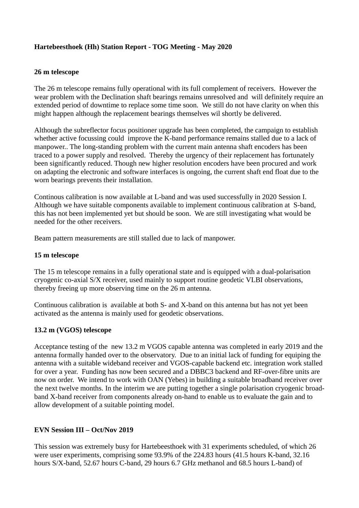### **Hartebeesthoek (Hh) Station Report - TOG Meeting - May 2020**

#### **26 m telescope**

The 26 m telescope remains fully operational with its full complement of receivers. However the wear problem with the Declination shaft bearings remains unresolved and will definitely require an extended period of downtime to replace some time soon. We still do not have clarity on when this might happen although the replacement bearings themselves wil shortly be delivered.

Although the subreflector focus positioner upgrade has been completed, the campaign to establish whether active focussing could improve the K-band performance remains stalled due to a lack of manpower.. The long-standing problem with the current main antenna shaft encoders has been traced to a power supply and resolved. Thereby the urgency of their replacement has fortunately been significantly reduced. Though new higher resolution encoders have been procured and work on adapting the electronic and software interfaces is ongoing, the current shaft end float due to the worn bearings prevents their installation.

Continous calibration is now available at L-band and was used successfully in 2020 Session I. Although we have suitable components available to implement continuous calibration at S-band, this has not been implemented yet but should be soon. We are still investigating what would be needed for the other receivers.

Beam pattern measurements are still stalled due to lack of manpower.

#### **15 m telescope**

The 15 m telescope remains in a fully operational state and is equipped with a dual-polarisation cryogenic co-axial S/X receiver, used mainly to support routine geodetic VLBI observations, thereby freeing up more observing time on the 26 m antenna.

Continuous calibration is available at both S- and X-band on this antenna but has not yet been activated as the antenna is mainly used for geodetic observations.

### **13.2 m (VGOS) telescope**

Acceptance testing of the new 13.2 m VGOS capable antenna was completed in early 2019 and the antenna formally handed over to the observatory. Due to an initial lack of funding for equiping the antenna with a suitable wideband receiver and VGOS-capable backend etc. integration work stalled for over a year. Funding has now been secured and a DBBC3 backend and RF-over-fibre units are now on order. We intend to work with OAN (Yebes) in building a suitable broadband receiver over the next twelve months. In the interim we are putting together a single polarisation cryogenic broadband X-band receiver from components already on-hand to enable us to evaluate the gain and to allow development of a suitable pointing model.

### **EVN Session III – Oct/Nov 2019**

This session was extremely busy for Hartebeesthoek with 31 experiments scheduled, of which 26 were user experiments, comprising some 93.9% of the 224.83 hours (41.5 hours K-band, 32.16 hours S/X-band, 52.67 hours C-band, 29 hours 6.7 GHz methanol and 68.5 hours L-band) of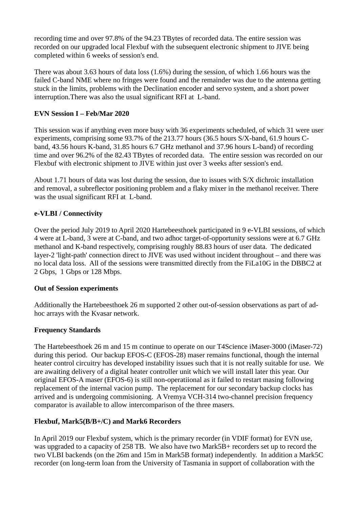recording time and over 97.8% of the 94.23 TBytes of recorded data. The entire session was recorded on our upgraded local Flexbuf with the subsequent electronic shipment to JIVE being completed within 6 weeks of session's end.

There was about 3.63 hours of data loss (1.6%) during the session, of which 1.66 hours was the failed C-band NME where no fringes were found and the remainder was due to the antenna getting stuck in the limits, problems with the Declination encoder and servo system, and a short power interruption.There was also the usual significant RFI at L-band.

### **EVN Session I – Feb/Mar 2020**

This session was if anything even more busy with 36 experiments scheduled, of which 31 were user experiments, comprising some 93.7% of the 213.77 hours (36.5 hours S/X-band, 61.9 hours Cband, 43.56 hours K-band, 31.85 hours 6.7 GHz methanol and 37.96 hours L-band) of recording time and over 96.2% of the 82.43 TBytes of recorded data. The entire session was recorded on our Flexbuf with electronic shipment to JIVE within just over 3 weeks after session's end.

About 1.71 hours of data was lost during the session, due to issues with S/X dichroic installation and removal, a subreflector positioning problem and a flaky mixer in the methanol receiver. There was the usual significant RFI at L-band.

# **e-VLBI / Connectivity**

Over the period July 2019 to April 2020 Hartebeesthoek participated in 9 e-VLBI sessions, of which 4 were at L-band, 3 were at C-band, and two adhoc target-of-opportunity sessions were at 6.7 GHz methanol and K-band respectively, comprising roughly 88.83 hours of user data. The dedicated layer-2 'light-path' connection direct to JIVE was used without incident throughout – and there was no local data loss. All of the sessions were transmitted directly from the FiLa10G in the DBBC2 at 2 Gbps, 1 Gbps or 128 Mbps.

### **Out of Session experiments**

Additionally the Hartebeesthoek 26 m supported 2 other out-of-session observations as part of adhoc arrays with the Kvasar network.

# **Frequency Standards**

The Hartebeesthoek 26 m and 15 m continue to operate on our T4Science iMaser-3000 (iMaser-72) during this period. Our backup EFOS-C (EFOS-28) maser remains functional, though the internal heater control circuitry has developed instability issues such that it is not really suitable for use. We are awaiting delivery of a digital heater controller unit which we will install later this year. Our original EFOS-A maser (EFOS-6) is still non-operatiional as it failed to restart masing following replacement of the internal vacion pump. The replacement for our secondary backup clocks has arrived and is undergoing commisioning. A Vremya VCH-314 two-channel precision frequency comparator is available to allow intercomparison of the three masers.

# **Flexbuf, Mark5(B/B+/C) and Mark6 Recorders**

In April 2019 our Flexbuf system, which is the primary recorder (in VDIF format) for EVN use, was upgraded to a capacity of 258 TB. We also have two Mark5B+ recorders set up to record the two VLBI backends (on the 26m and 15m in Mark5B format) independently. In addition a Mark5C recorder (on long-term loan from the University of Tasmania in support of collaboration with the